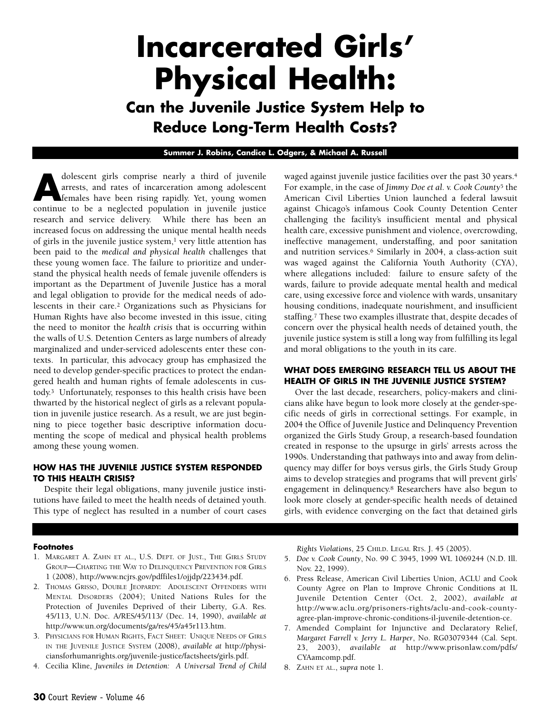# **Incarcerated Girls' Physical Health:**

**Can the Juvenile Justice System Help to Reduce Long-Term Health Costs?**

#### **Summer J. Robins, Candice L. Odgers, & Michael A. Russell**

dolescent girls comprise nearly a third of juvenile<br>arrests, and rates of incarceration among adolescent<br>females have been rising rapidly. Yet, young women<br>continue to be a neglected population in juvenile justice arrests, and rates of incarceration among adolescent continue to be a neglected population in juvenile justice research and service delivery. While there has been an increased focus on addressing the unique mental health needs of girls in the juvenile justice system, $1$  very little attention has been paid to the *medical and physical health* challenges that these young women face. The failure to prioritize and understand the physical health needs of female juvenile offenders is important as the Department of Juvenile Justice has a moral and legal obligation to provide for the medical needs of adolescents in their care.2 Organizations such as Physicians for Human Rights have also become invested in this issue, citing the need to monitor the *health crisis* that is occurring within the walls of U.S. Detention Centers as large numbers of already marginalized and under-serviced adolescents enter these contexts. In particular, this advocacy group has emphasized the need to develop gender-specific practices to protect the endangered health and human rights of female adolescents in custody.3 Unfortunately, responses to this health crisis have been thwarted by the historical neglect of girls as a relevant population in juvenile justice research. As a result, we are just beginning to piece together basic descriptive information documenting the scope of medical and physical health problems among these young women.

#### **HOW HAS THE JUVENILE JUSTICE SYSTEM RESPONDED TO THIS HEALTH CRISIS?**

Despite their legal obligations, many juvenile justice institutions have failed to meet the health needs of detained youth. This type of neglect has resulted in a number of court cases waged against juvenile justice facilities over the past 30 years.4 For example, in the case of *Jimmy Doe et al. v. Cook County*<sup>5</sup> the American Civil Liberties Union launched a federal lawsuit against Chicago's infamous Cook County Detention Center challenging the facility's insufficient mental and physical health care, excessive punishment and violence, overcrowding, ineffective management, understaffing, and poor sanitation and nutrition services.6 Similarly in 2004, a class-action suit was waged against the California Youth Authority (CYA), where allegations included: failure to ensure safety of the wards, failure to provide adequate mental health and medical care, using excessive force and violence with wards, unsanitary housing conditions, inadequate nourishment, and insufficient staffing.<sup>7</sup> These two examples illustrate that, despite decades of concern over the physical health needs of detained youth, the juvenile justice system is still a long way from fulfilling its legal and moral obligations to the youth in its care.

#### **WHAT DOES EMERGING RESEARCH TELL US ABOUT THE HEALTH OF GIRLS IN THE JUVENILE JUSTICE SYSTEM?**

Over the last decade, researchers, policy-makers and clinicians alike have begun to look more closely at the gender-specific needs of girls in correctional settings. For example, in 2004 the Office of Juvenile Justice and Delinquency Prevention organized the Girls Study Group, a research-based foundation created in response to the upsurge in girls' arrests across the 1990s. Understanding that pathways into and away from delinquency may differ for boys versus girls, the Girls Study Group aims to develop strategies and programs that will prevent girls' engagement in delinquency.8 Researchers have also begun to look more closely at gender-specific health needs of detained girls, with evidence converging on the fact that detained girls

#### **Footnotes**

- 1. MARGARET A. ZAHN ET AL., U.S. DEPT. OF JUST., THE GIRLS STUDY GROUP—CHARTING THE WAY TO DELINQUENCY PREVENTION FOR GIRLS 1 (2008), http://www.ncjrs.gov/pdffiles1/ojjdp/223434.pdf.
- 2. THOMAS GRISSO, DOUBLE JEOPARDY: ADOLESCENT OFFENDERS WITH MENTAL DISORDERS (2004); United Nations Rules for the Protection of Juveniles Deprived of their Liberty*,* G.A. Res. 45/113, U.N. Doc. A/RES/45/113/ (Dec. 14, 1990), *available at* http://www.un.org/documents/ga/res/45/a45r113.htm.
- 3. PHYSICIANS FOR HUMAN RIGHTS, FACT SHEET: UNIQUE NEEDS OF GIRLS IN THE JUVENILE JUSTICE SYSTEM (2008), *available at* http://physiciansforhumanrights.org/juvenile-justice/factsheets/girls.pdf.
- 4. Cecilia Kline, *Juveniles in Detention: A Universal Trend of Child*

*Rights Violations*, 25 CHILD. LEGAL RTS. J. 45 (2005).

- 5. *Doe v. Cook County*, No. 99 C 3945, 1999 WL 1069244 (N.D. Ill. Nov. 22, 1999).
- 6. Press Release, American Civil Liberties Union, ACLU and Cook County Agree on Plan to Improve Chronic Conditions at IL Juvenile Detention Center (Oct. 2, 2002), *available at* http://www.aclu.org/prisoners-rights/aclu-and-cook-countyagree-plan-improve-chronic-conditions-il-juvenile-detention-ce.
- 7. Amended Complaint for Injunctive and Declaratory Relief, *Margaret Farrell v. Jerry L. Harper*, No. RG03079344 (Cal. Sept. 23, 2003), *available at* http://www.prisonlaw.com/pdfs/ CYAamcomp.pdf.
- 8. ZAHN ET AL., *supra* note 1.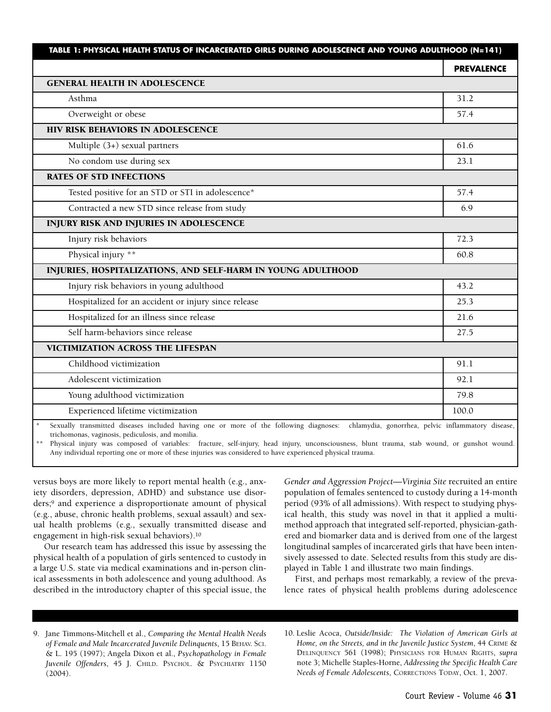|                                                              | <b>PREVALENCE</b> |
|--------------------------------------------------------------|-------------------|
| <b>GENERAL HEALTH IN ADOLESCENCE</b>                         |                   |
| Asthma                                                       | 31.2              |
| Overweight or obese                                          | 57.4              |
| HIV RISK BEHAVIORS IN ADOLESCENCE                            |                   |
| Multiple (3+) sexual partners                                | 61.6              |
| No condom use during sex                                     | 23.1              |
| <b>RATES OF STD INFECTIONS</b>                               |                   |
| Tested positive for an STD or STI in adolescence*            | 57.4              |
| Contracted a new STD since release from study                | 6.9               |
| <b>INJURY RISK AND INJURIES IN ADOLESCENCE</b>               |                   |
| Injury risk behaviors                                        | 72.3              |
| Physical injury **                                           | 60.8              |
| INJURIES, HOSPITALIZATIONS, AND SELF-HARM IN YOUNG ADULTHOOD |                   |
| Injury risk behaviors in young adulthood                     | 43.2              |
| Hospitalized for an accident or injury since release         | 25.3              |
| Hospitalized for an illness since release                    | 21.6              |
| Self harm-behaviors since release                            | 27.5              |
| <b>VICTIMIZATION ACROSS THE LIFESPAN</b>                     |                   |
| Childhood victimization                                      | 91.1              |
| Adolescent victimization                                     | 92.1              |
| Young adulthood victimization                                | 79.8              |
| Experienced lifetime victimization                           | 100.0             |

trichomonas, vaginosis, pediculosis, and monilia.

Physical injury was composed of variables: fracture, self-injury, head injury, unconsciousness, blunt trauma, stab wound, or gunshot wound. Any individual reporting one or more of these injuries was considered to have experienced physical trauma.

versus boys are more likely to report mental health (e.g., anxiety disorders, depression, ADHD) and substance use disorders;9 and experience a disproportionate amount of physical (e.g., abuse, chronic health problems, sexual assault) and sexual health problems (e.g., sexually transmitted disease and engagement in high-risk sexual behaviors).10

Our research team has addressed this issue by assessing the physical health of a population of girls sentenced to custody in a large U.S. state via medical examinations and in-person clinical assessments in both adolescence and young adulthood. As described in the introductory chapter of this special issue, the

*Gender and Aggression Project—Virginia Site* recruited an entire population of females sentenced to custody during a 14-month period (93% of all admissions). With respect to studying physical health, this study was novel in that it applied a multimethod approach that integrated self-reported, physician-gathered and biomarker data and is derived from one of the largest longitudinal samples of incarcerated girls that have been intensively assessed to date. Selected results from this study are displayed in Table 1 and illustrate two main findings.

First, and perhaps most remarkably, a review of the prevalence rates of physical health problems during adolescence

- 9. Jane Timmons-Mitchell et al., *Comparing the Mental Health Needs of Female and Male Incarcerated Juvenile Delinquents*, 15 BEHAV. SCI. & L. 195 (1997); Angela Dixon et al., *Psychopathology in Female Juvenile Offenders*, 45 J. CHILD. PSYCHOL. & PSYCHIATRY 1150 (2004).
- 10. Leslie Acoca, *Outside/Inside: The Violation of American Girls at Home, on the Streets, and in the Juvenile Justice System*, 44 CRIME & DELINQUENCY 561 (1998); PHYSICIANS FOR HUMAN RIGHTS, *supra* note 3; Michelle Staples-Horne, *Addressing the Specific Health Care Needs of Female Adolescents*, CORRECTIONS TODAY, Oct. 1, 2007.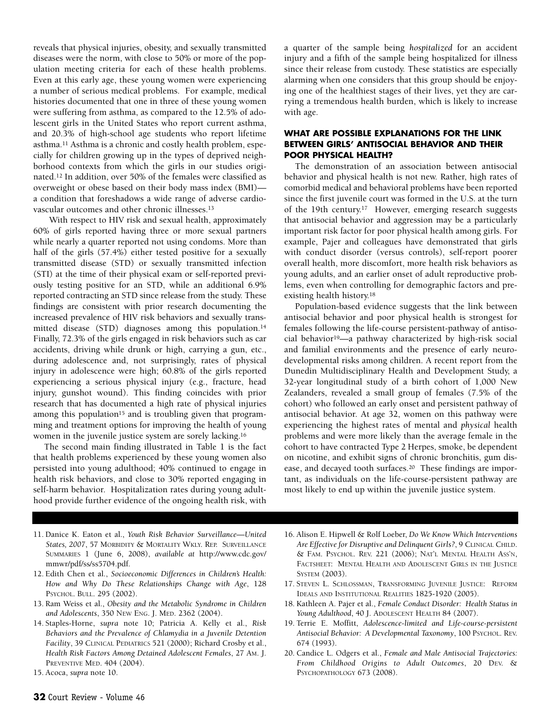reveals that physical injuries, obesity, and sexually transmitted diseases were the norm, with close to 50% or more of the population meeting criteria for each of these health problems. Even at this early age, these young women were experiencing a number of serious medical problems. For example, medical histories documented that one in three of these young women were suffering from asthma, as compared to the 12.5% of adolescent girls in the United States who report current asthma, and 20.3% of high-school age students who report lifetime asthma.11 Asthma is a chronic and costly health problem, especially for children growing up in the types of deprived neighborhood contexts from which the girls in our studies originated.12 In addition, over 50% of the females were classified as overweight or obese based on their body mass index (BMI) a condition that foreshadows a wide range of adverse cardiovascular outcomes and other chronic illnesses.13

With respect to HIV risk and sexual health, approximately 60% of girls reported having three or more sexual partners while nearly a quarter reported not using condoms. More than half of the girls (57.4%) either tested positive for a sexually transmitted disease (STD) or sexually transmitted infection (STI) at the time of their physical exam or self-reported previously testing positive for an STD, while an additional 6.9% reported contracting an STD since release from the study. These findings are consistent with prior research documenting the increased prevalence of HIV risk behaviors and sexually transmitted disease (STD) diagnoses among this population.14 Finally, 72.3% of the girls engaged in risk behaviors such as car accidents, driving while drunk or high, carrying a gun, etc., during adolescence and, not surprisingly, rates of physical injury in adolescence were high; 60.8% of the girls reported experiencing a serious physical injury (e.g., fracture, head injury, gunshot wound). This finding coincides with prior research that has documented a high rate of physical injuries among this population<sup>15</sup> and is troubling given that programming and treatment options for improving the health of young women in the juvenile justice system are sorely lacking.16

The second main finding illustrated in Table 1 is the fact that health problems experienced by these young women also persisted into young adulthood; 40% continued to engage in health risk behaviors, and close to 30% reported engaging in self-harm behavior. Hospitalization rates during young adulthood provide further evidence of the ongoing health risk, with a quarter of the sample being *hospitalized* for an accident injury and a fifth of the sample being hospitalized for illness since their release from custody. These statistics are especially alarming when one considers that this group should be enjoying one of the healthiest stages of their lives, yet they are carrying a tremendous health burden, which is likely to increase with age.

## **WHAT ARE POSSIBLE EXPLANATIONS FOR THE LINK BETWEEN GIRLS' ANTISOCIAL BEHAVIOR AND THEIR POOR PHYSICAL HEALTH?**

The demonstration of an association between antisocial behavior and physical health is not new. Rather, high rates of comorbid medical and behavioral problems have been reported since the first juvenile court was formed in the U.S. at the turn of the 19th century.17 However, emerging research suggests that antisocial behavior and aggression may be a particularly important risk factor for poor physical health among girls. For example, Pajer and colleagues have demonstrated that girls with conduct disorder (versus controls), self-report poorer overall health, more discomfort, more health risk behaviors as young adults, and an earlier onset of adult reproductive problems, even when controlling for demographic factors and preexisting health history.18

Population-based evidence suggests that the link between antisocial behavior and poor physical health is strongest for females following the life-course persistent-pathway of antisocial behavior19—a pathway characterized by high-risk social and familial environments and the presence of early neurodevelopmental risks among children. A recent report from the Dunedin Multidisciplinary Health and Development Study, a 32-year longitudinal study of a birth cohort of 1,000 New Zealanders, revealed a small group of females (7.5% of the cohort) who followed an early onset and persistent pathway of antisocial behavior. At age 32, women on this pathway were experiencing the highest rates of mental and *physical* health problems and were more likely than the average female in the cohort to have contracted Type 2 Herpes, smoke, be dependent on nicotine, and exhibit signs of chronic bronchitis, gum disease, and decayed tooth surfaces.20 These findings are important, as individuals on the life-course-persistent pathway are most likely to end up within the juvenile justice system.

- 11. Danice K. Eaton et al., *Youth Risk Behavior Surveillance—United States, 2007*, 57 MORBIDITY & MORTALITY WKLY. REP. SURVEILLANCE SUMMARIES 1 (June 6, 2008), *available at* http://www.cdc.gov/ mmwr/pdf/ss/ss5704.pdf.
- 12. Edith Chen et al., *Socioeconomic Differences in Children's Health: How and Why Do These Relationships Change with Age*, 128 PSYCHOL. BULL. 295 (2002).
- 13. Ram Weiss et al., *Obesity and the Metabolic Syndrome in Children and Adolescents*, 350 NEW ENG. J. MED. 2362 (2004).
- 14. Staples-Horne, *supra* note 10; Patricia A. Kelly et al., *Risk Behaviors and the Prevalence of Chlamydia in a Juvenile Detention Facility*, 39 CLINICAL PEDIATRICS 521 (2000); Richard Crosby et al., *Health Risk Factors Among Detained Adolescent Females*, 27 AM. J. PREVENTIVE MED. 404 (2004).
- 15. Acoca, *supra* note 10.
- 16. Alison E. Hipwell & Rolf Loeber, *Do We Know Which Interventions Are Effective for Disruptive and Delinquent Girls?*, 9 CLINICAL CHILD. & FAM. PSYCHOL. REV. 221 (2006); NAT'L MENTAL HEALTH ASS'N, FACTSHEET: MENTAL HEALTH AND ADOLESCENT GIRLS IN THE JUSTICE SYSTEM (2003).
- 17. STEVEN L. SCHLOSSMAN, TRANSFORMING JUVENILE JUSTICE: REFORM IDEALS AND INSTITUTIONAL REALITIES 1825-1920 (2005).
- 18. Kathleen A. Pajer et al., *Female Conduct Disorder: Health Status in Young Adulthood*, 40 J. ADOLESCENT HEALTH 84 (2007).
- 19. Terrie E. Moffitt, *Adolescence-limited and Life-course-persistent Antisocial Behavior: A Developmental Taxonomy*, 100 PSYCHOL. REV. 674 (1993).
- 20. Candice L. Odgers et al., *Female and Male Antisocial Trajectories: From Childhood Origins to Adult Outcomes*, 20 DEV. & PSYCHOPATHOLOGY 673 (2008).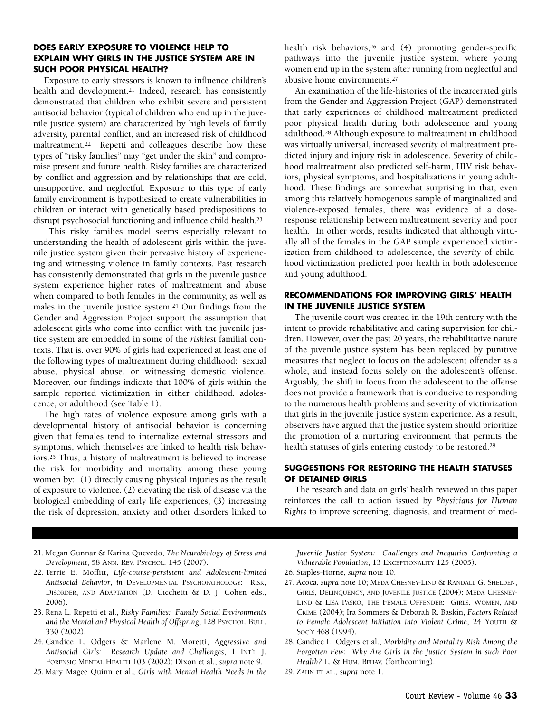#### **DOES EARLY EXPOSURE TO VIOLENCE HELP TO EXPLAIN WHY GIRLS IN THE JUSTICE SYSTEM ARE IN SUCH POOR PHYSICAL HEALTH?**

Exposure to early stressors is known to influence children's health and development.21 Indeed, research has consistently demonstrated that children who exhibit severe and persistent antisocial behavior (typical of children who end up in the juvenile justice system) are characterized by high levels of family adversity, parental conflict, and an increased risk of childhood maltreatment.<sup>22</sup> Repetti and colleagues describe how these types of "risky families" may "get under the skin" and compromise present and future health. Risky families are characterized by conflict and aggression and by relationships that are cold, unsupportive, and neglectful. Exposure to this type of early family environment is hypothesized to create vulnerabilities in children or interact with genetically based predispositions to disrupt psychosocial functioning and influence child health.23

This risky families model seems especially relevant to understanding the health of adolescent girls within the juvenile justice system given their pervasive history of experiencing and witnessing violence in family contexts. Past research has consistently demonstrated that girls in the juvenile justice system experience higher rates of maltreatment and abuse when compared to both females in the community, as well as males in the juvenile justice system.24 Our findings from the Gender and Aggression Project support the assumption that adolescent girls who come into conflict with the juvenile justice system are embedded in some of the *riskiest* familial contexts. That is, over 90% of girls had experienced at least one of the following types of maltreatment during childhood: sexual abuse, physical abuse, or witnessing domestic violence. Moreover, our findings indicate that 100% of girls within the sample reported victimization in either childhood, adolescence, or adulthood (see Table 1).

The high rates of violence exposure among girls with a developmental history of antisocial behavior is concerning given that females tend to internalize external stressors and symptoms, which themselves are linked to health risk behaviors.25 Thus, a history of maltreatment is believed to increase the risk for morbidity and mortality among these young women by: (1) directly causing physical injuries as the result of exposure to violence, (2) elevating the risk of disease via the biological embedding of early life experiences, (3) increasing the risk of depression, anxiety and other disorders linked to health risk behaviors,26 and (4) promoting gender-specific pathways into the juvenile justice system, where young women end up in the system after running from neglectful and abusive home environments.27

An examination of the life-histories of the incarcerated girls from the Gender and Aggression Project (GAP) demonstrated that early experiences of childhood maltreatment predicted poor physical health during both adolescence and young adulthood.28 Although exposure to maltreatment in childhood was virtually universal, increased *severity* of maltreatment predicted injury and injury risk in adolescence. Severity of childhood maltreatment also predicted self-harm, HIV risk behaviors, physical symptoms, and hospitalizations in young adulthood. These findings are somewhat surprising in that, even among this relatively homogenous sample of marginalized and violence-exposed females, there was evidence of a doseresponse relationship between maltreatment severity and poor health. In other words, results indicated that although virtually all of the females in the GAP sample experienced victimization from childhood to adolescence, the *severity* of childhood victimization predicted poor health in both adolescence and young adulthood.

### **RECOMMENDATIONS FOR IMPROVING GIRLS' HEALTH IN THE JUVENILE JUSTICE SYSTEM**

The juvenile court was created in the 19th century with the intent to provide rehabilitative and caring supervision for children. However, over the past 20 years, the rehabilitative nature of the juvenile justice system has been replaced by punitive measures that neglect to focus on the adolescent offender as a whole, and instead focus solely on the adolescent's offense. Arguably, the shift in focus from the adolescent to the offense does not provide a framework that is conducive to responding to the numerous health problems and severity of victimization that girls in the juvenile justice system experience. As a result, observers have argued that the justice system should prioritize the promotion of a nurturing environment that permits the health statuses of girls entering custody to be restored.29

#### **SUGGESTIONS FOR RESTORING THE HEALTH STATUSES OF DETAINED GIRLS**

The research and data on girls' health reviewed in this paper reinforces the call to action issued by *Physicians for Human Rights* to improve screening, diagnosis, and treatment of med-

- 21. Megan Gunnar & Karina Quevedo, *The Neurobiology of Stress and Development*, 58 ANN. REV. PSYCHOL. 145 (2007).
- 22. Terrie E. Moffitt, *Life-course-persistent and Adolescent-limited Antisocial Behavior*, *in* DEVELOPMENTAL PSYCHOPATHOLOGY: RISK, DISORDER, AND ADAPTATION (D. Cicchetti & D. J. Cohen eds., 2006).
- 23. Rena L. Repetti et al., *Risky Families: Family Social Environments and the Mental and Physical Health of Offspring*, 128 PSYCHOL. BULL. 330 (2002).
- 24. Candice L. Odgers & Marlene M. Moretti, *Aggressive and Antisocial Girls: Research Update and Challenges*, 1 INT'L J. FORENSIC MENTAL HEALTH 103 (2002); Dixon et al., *supra* note 9.
- 25. Mary Magee Quinn et al., *Girls with Mental Health Needs in the*

*Juvenile Justice System: Challenges and Inequities Confronting a Vulnerable Population*, 13 EXCEPTIONALITY 125 (2005).

- 26. Staples-Horne, *supra* note 10.
- 27. Acoca, *supra* note 10; MEDA CHESNEY-LIND & RANDALL G. SHELDEN, GIRLS, DELINQUENCY, AND JUVENILE JUSTICE (2004); MEDA CHESNEY-LIND & LISA PASKO, THE FEMALE OFFENDER: GIRLS, WOMEN, AND CRIME (2004); Ira Sommers & Deborah R. Baskin, *Factors Related to Female Adolescent Initiation into Violent Crime*, 24 YOUTH & SOC'Y 468 (1994).
- 28. Candice L. Odgers et al., *Morbidity and Mortality Risk Among the Forgotten Few: Why Are Girls in the Justice System in such Poor Health?* L. & HUM. BEHAV. (forthcoming).
- 29. ZAHN ET AL., *supra* note 1.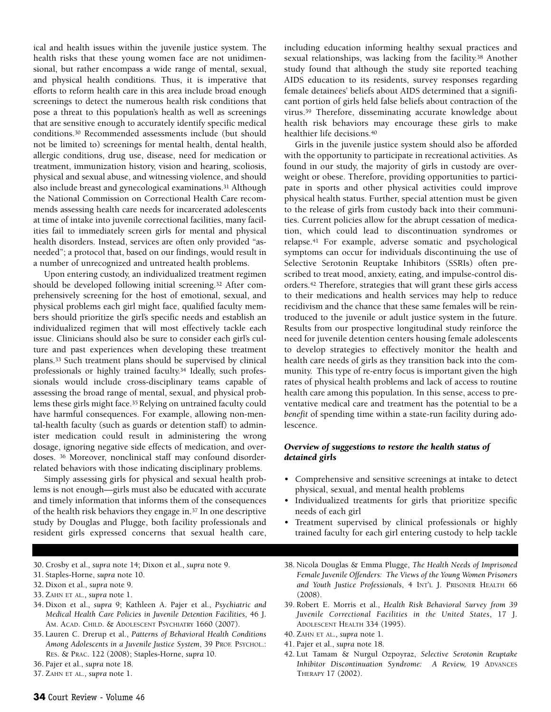ical and health issues within the juvenile justice system. The health risks that these young women face are not unidimensional, but rather encompass a wide range of mental, sexual, and physical health conditions. Thus, it is imperative that efforts to reform health care in this area include broad enough screenings to detect the numerous health risk conditions that pose a threat to this population's health as well as screenings that are sensitive enough to accurately identify specific medical conditions.30 Recommended assessments include (but should not be limited to) screenings for mental health, dental health, allergic conditions, drug use, disease, need for medication or treatment, immunization history, vision and hearing, scoliosis, physical and sexual abuse, and witnessing violence, and should also include breast and gynecological examinations.31 Although the National Commission on Correctional Health Care recommends assessing health care needs for incarcerated adolescents at time of intake into juvenile correctional facilities, many facilities fail to immediately screen girls for mental and physical health disorders. Instead, services are often only provided "asneeded"; a protocol that, based on our findings, would result in a number of unrecognized and untreated health problems.

Upon entering custody, an individualized treatment regimen should be developed following initial screening.32 After comprehensively screening for the host of emotional, sexual, and physical problems each girl might face, qualified faculty members should prioritize the girl's specific needs and establish an individualized regimen that will most effectively tackle each issue. Clinicians should also be sure to consider each girl's culture and past experiences when developing these treatment plans.33 Such treatment plans should be supervised by clinical professionals or highly trained faculty.34 Ideally, such professionals would include cross-disciplinary teams capable of assessing the broad range of mental, sexual, and physical problems these girls might face.35 Relying on untrained faculty could have harmful consequences. For example, allowing non-mental-health faculty (such as guards or detention staff) to administer medication could result in administering the wrong dosage, ignoring negative side effects of medication, and overdoses. 36 Moreover, nonclinical staff may confound disorderrelated behaviors with those indicating disciplinary problems.

Simply assessing girls for physical and sexual health problems is not enough—girls must also be educated with accurate and timely information that informs them of the consequences of the health risk behaviors they engage in.37 In one descriptive study by Douglas and Plugge, both facility professionals and resident girls expressed concerns that sexual health care,

including education informing healthy sexual practices and sexual relationships, was lacking from the facility.38 Another study found that although the study site reported teaching AIDS education to its residents, survey responses regarding female detainees' beliefs about AIDS determined that a significant portion of girls held false beliefs about contraction of the virus.39 Therefore, disseminating accurate knowledge about health risk behaviors may encourage these girls to make healthier life decisions.40

Girls in the juvenile justice system should also be afforded with the opportunity to participate in recreational activities. As found in our study, the majority of girls in custody are overweight or obese. Therefore, providing opportunities to participate in sports and other physical activities could improve physical health status. Further, special attention must be given to the release of girls from custody back into their communities. Current policies allow for the abrupt cessation of medication, which could lead to discontinuation syndromes or relapse.41 For example, adverse somatic and psychological symptoms can occur for individuals discontinuing the use of Selective Serotonin Reuptake Inhibitors (SSRIs) often prescribed to treat mood, anxiety, eating, and impulse-control disorders.42 Therefore, strategies that will grant these girls access to their medications and health services may help to reduce recidivism and the chance that these same females will be reintroduced to the juvenile or adult justice system in the future. Results from our prospective longitudinal study reinforce the need for juvenile detention centers housing female adolescents to develop strategies to effectively monitor the health and health care needs of girls as they transition back into the community. This type of re-entry focus is important given the high rates of physical health problems and lack of access to routine health care among this population. In this sense, access to preventative medical care and treatment has the potential to be a *benefit* of spending time within a state-run facility during adolescence.

## *Overview of suggestions to restore the health status of detained girls*

- Comprehensive and sensitive screenings at intake to detect physical, sexual, and mental health problems
- Individualized treatments for girls that prioritize specific needs of each girl
- Treatment supervised by clinical professionals or highly trained faculty for each girl entering custody to help tackle
- 30. Crosby et al., *supra* note 14; Dixon et al., *supra* note 9.
- 31. Staples-Horne, *supra* note 10.
- 32. Dixon et al., *supra* note 9.
- 33. ZAHN ET AL., *supra* note 1.
- 34. Dixon et al., *supra* 9; Kathleen A. Pajer et al., *Psychiatric and Medical Health Care Policies in Juvenile Detention Facilities*, 46 J. AM. ACAD. CHILD. & ADOLESCENT PSYCHIATRY 1660 (2007).
- 35. Lauren C. Drerup et al., *Patterns of Behavioral Health Conditions Among Adolescents in a Juvenile Justice System*, 39 PROF. PSYCHOL.: RES. & PRAC. 122 (2008); Staples-Horne, *supra* 10.
- 36. Pajer et al., *supra* note 18.
- 37. ZAHN ET AL., *supra* note 1.
- 38. Nicola Douglas & Emma Plugge, *The Health Needs of Imprisoned Female Juvenile Offenders: The Views of the Young Women Prisoners and Youth Justice Professionals*, 4 INT'L J. PRISONER HEALTH 66 (2008).
- 39. Robert E. Morris et al., *Health Risk Behavioral Survey from 39 Juvenile Correctional Facilities in the United States*, 17 J. ADOLESCENT HEALTH 334 (1995).
- 40. ZAHN ET AL., *supra* note 1.
- 41. Pajer et al., *supra* note 18.
- 42. Lut Tamam & Nurgul Ozpoyraz, *Selective Serotonin Reuptake Inhibitor Discontinuation Syndrome: A Review,* 19 ADVANCES THERAPY 17 (2002).